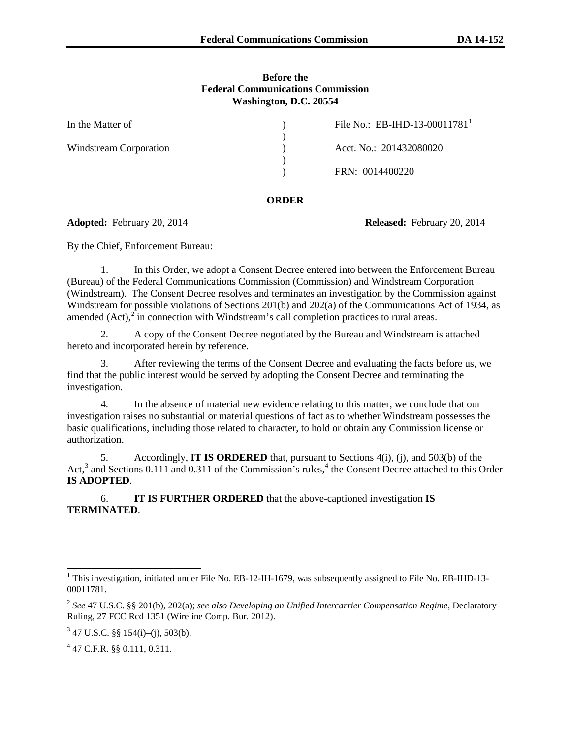# **Before the Federal Communications Commission Washington, D.C. 20554**

| In the Matter of       | File No.: EB-IHD-13-00011781 <sup>1</sup> |
|------------------------|-------------------------------------------|
|                        |                                           |
| Windstream Corporation | Acct. No.: 201432080020                   |
|                        |                                           |
|                        | FRN: 0014400220                           |

# **ORDER**

# **Adopted:** February 20, 2014 **Released:** February 20, 2014

By the Chief, Enforcement Bureau:

1. In this Order, we adopt a Consent Decree entered into between the Enforcement Bureau (Bureau) of the Federal Communications Commission (Commission) and Windstream Corporation (Windstream). The Consent Decree resolves and terminates an investigation by the Commission against Windstream for possible violations of Sections 201(b) and 202(a) of the Communications Act of 1934, as amended  $(Act)$ , $\frac{2}{3}$  in connection with Windstream's call completion practices to rural areas.

2. A copy of the Consent Decree negotiated by the Bureau and Windstream is attached hereto and incorporated herein by reference.

3. After reviewing the terms of the Consent Decree and evaluating the facts before us, we find that the public interest would be served by adopting the Consent Decree and terminating the investigation.

4. In the absence of material new evidence relating to this matter, we conclude that our investigation raises no substantial or material questions of fact as to whether Windstream possesses the basic qualifications, including those related to character, to hold or obtain any Commission license or authorization.

5. Accordingly, **IT IS ORDERED** that, pursuant to Sections 4(i), (j), and 503(b) of the Act, $3$  and Sections 0.111 and 0.311 of the Commission's rules, $4$  the Consent Decree attached to this Order **IS ADOPTED**.

6. **IT IS FURTHER ORDERED** that the above-captioned investigation **IS TERMINATED**.

<sup>&</sup>lt;sup>1</sup> This investigation, initiated under File No. EB-12-IH-1679, was subsequently assigned to File No. EB-IHD-13-00011781.

<sup>2</sup> *See* 47 U.S.C. §§ 201(b), 202(a); *see also Developing an Unified Intercarrier Compensation Regime*, Declaratory Ruling, 27 FCC Rcd 1351 (Wireline Comp. Bur. 2012).

 $347$  U.S.C. §§ 154(i)–(j), 503(b).

<sup>4</sup> 47 C.F.R. §§ 0.111, 0.311.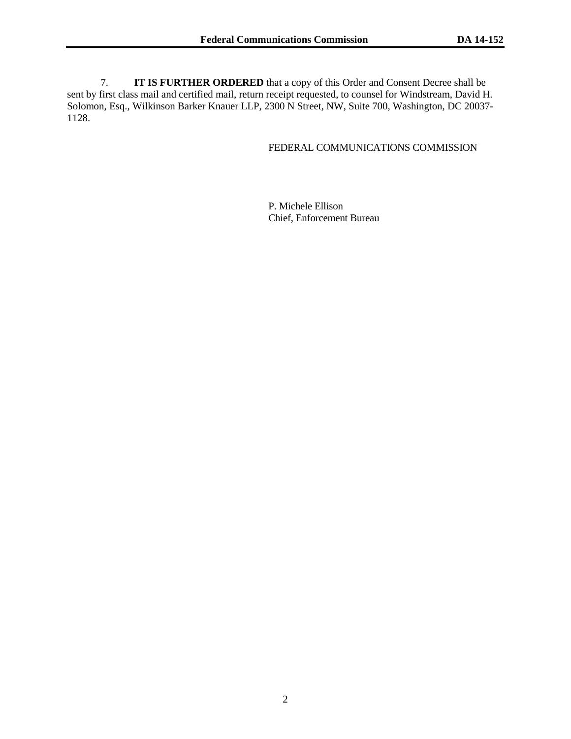7. **IT IS FURTHER ORDERED** that a copy of this Order and Consent Decree shall be sent by first class mail and certified mail, return receipt requested, to counsel for Windstream, David H. Solomon, Esq., Wilkinson Barker Knauer LLP, 2300 N Street, NW, Suite 700, Washington, DC 20037- 1128.

## FEDERAL COMMUNICATIONS COMMISSION

P. Michele Ellison Chief, Enforcement Bureau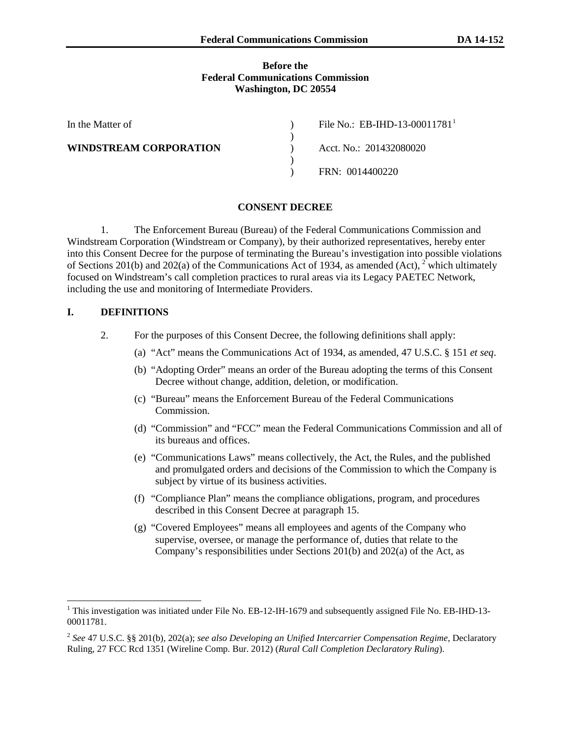#### **Before the Federal Communications Commission Washington, DC 20554**

| In the Matter of       | File No.: EB-IHD-13-00011781 <sup>1</sup> |
|------------------------|-------------------------------------------|
| WINDSTREAM CORPORATION | Acct. No.: 201432080020                   |
|                        | FRN: 0014400220                           |

## **CONSENT DECREE**

1. The Enforcement Bureau (Bureau) of the Federal Communications Commission and Windstream Corporation (Windstream or Company), by their authorized representatives, hereby enter into this Consent Decree for the purpose of terminating the Bureau's investigation into possible violations of Sections 201(b) and 202(a) of the Communications Act of 1934, as amended  $(Act),$ <sup>2</sup> which ultimately focused on Windstream's call completion practices to rural areas via its Legacy PAETEC Network, including the use and monitoring of Intermediate Providers.

#### **I. DEFINITIONS**

- 2. For the purposes of this Consent Decree, the following definitions shall apply:
	- (a) "Act" means the Communications Act of 1934, as amended, 47 U.S.C. § 151 *et seq*.
	- (b) "Adopting Order" means an order of the Bureau adopting the terms of this Consent Decree without change, addition, deletion, or modification.
	- (c) "Bureau" means the Enforcement Bureau of the Federal Communications Commission.
	- (d) "Commission" and "FCC" mean the Federal Communications Commission and all of its bureaus and offices.
	- (e) "Communications Laws" means collectively, the Act, the Rules, and the published and promulgated orders and decisions of the Commission to which the Company is subject by virtue of its business activities.
	- (f) "Compliance Plan" means the compliance obligations, program, and procedures described in this Consent Decree at paragraph 15.
	- (g) "Covered Employees" means all employees and agents of the Company who supervise, oversee, or manage the performance of, duties that relate to the Company's responsibilities under Sections 201(b) and 202(a) of the Act, as

<sup>&</sup>lt;sup>1</sup> This investigation was initiated under File No. EB-12-IH-1679 and subsequently assigned File No. EB-IHD-13-00011781.

<sup>2</sup> *See* 47 U.S.C. §§ 201(b), 202(a); *see also Developing an Unified Intercarrier Compensation Regime*, Declaratory Ruling, 27 FCC Rcd 1351 (Wireline Comp. Bur. 2012) (*Rural Call Completion Declaratory Ruling*).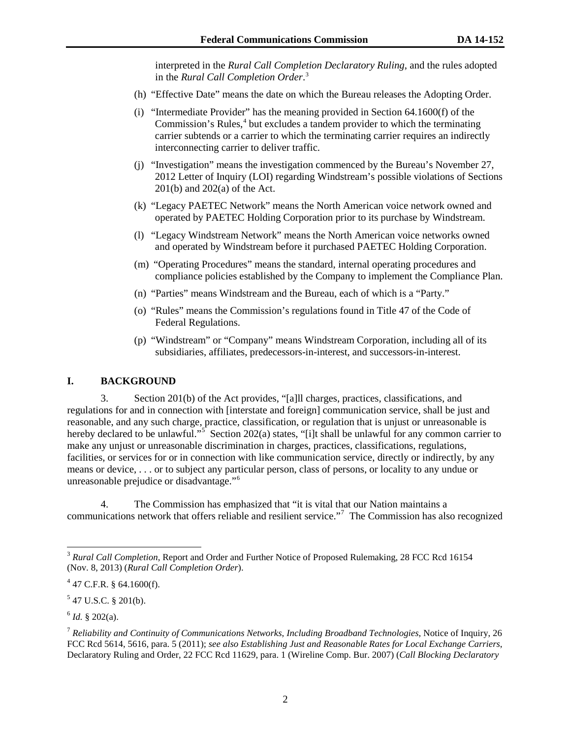interpreted in the *Rural Call Completion Declaratory Ruling*, and the rules adopted in the *Rural Call Completion Order*. 3

- (h) "Effective Date" means the date on which the Bureau releases the Adopting Order.
- (i) "Intermediate Provider" has the meaning provided in Section 64.1600(f) of the Commission's Rules, <sup>4</sup> but excludes a tandem provider to which the terminating carrier subtends or a carrier to which the terminating carrier requires an indirectly interconnecting carrier to deliver traffic.
- (j) "Investigation" means the investigation commenced by the Bureau's November 27, 2012 Letter of Inquiry (LOI) regarding Windstream's possible violations of Sections 201(b) and 202(a) of the Act.
- (k) "Legacy PAETEC Network" means the North American voice network owned and operated by PAETEC Holding Corporation prior to its purchase by Windstream.
- (l) "Legacy Windstream Network" means the North American voice networks owned and operated by Windstream before it purchased PAETEC Holding Corporation.
- (m) "Operating Procedures" means the standard, internal operating procedures and compliance policies established by the Company to implement the Compliance Plan.
- (n) "Parties" means Windstream and the Bureau, each of which is a "Party."
- (o) "Rules" means the Commission's regulations found in Title 47 of the Code of Federal Regulations.
- (p) "Windstream" or "Company" means Windstream Corporation, including all of its subsidiaries, affiliates, predecessors-in-interest, and successors-in-interest.

# **I. BACKGROUND**

3. Section 201(b) of the Act provides, "[a]ll charges, practices, classifications, and regulations for and in connection with [interstate and foreign] communication service, shall be just and reasonable, and any such charge, practice, classification, or regulation that is unjust or unreasonable is hereby declared to be unlawful."<sup>5</sup> Section 202(a) states, "[i]t shall be unlawful for any common carrier to make any unjust or unreasonable discrimination in charges, practices, classifications, regulations, facilities, or services for or in connection with like communication service, directly or indirectly, by any means or device, . . . or to subject any particular person, class of persons, or locality to any undue or unreasonable prejudice or disadvantage."6

4. The Commission has emphasized that "it is vital that our Nation maintains a communications network that offers reliable and resilient service."<sup>7</sup> The Commission has also recognized

 <sup>3</sup> *Rural Call Completion*, Report and Order and Further Notice of Proposed Rulemaking, 28 FCC Rcd 16154 (Nov. 8, 2013) (*Rural Call Completion Order*).

 $447$  C.F.R. § 64.1600(f).

 $5$  47 U.S.C. § 201(b).

 $^{6}$  *Id.* § 202(a).

<sup>7</sup> *Reliability and Continuity of Communications Networks*, *Including Broadband Technologies*, Notice of Inquiry, 26 FCC Rcd 5614, 5616, para. 5 (2011); *see also Establishing Just and Reasonable Rates for Local Exchange Carriers*, Declaratory Ruling and Order, 22 FCC Rcd 11629, para. 1 (Wireline Comp. Bur. 2007) (*Call Blocking Declaratory*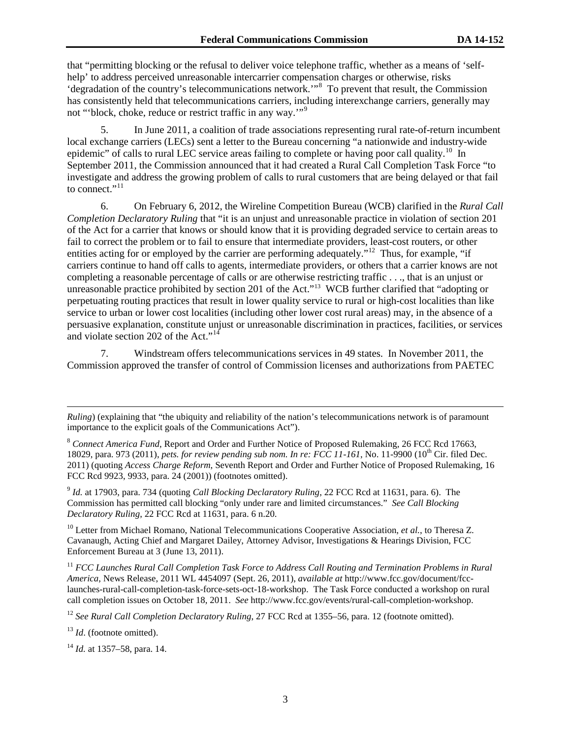that "permitting blocking or the refusal to deliver voice telephone traffic, whether as a means of 'selfhelp' to address perceived unreasonable intercarrier compensation charges or otherwise, risks 'degradation of the country's telecommunications network."<sup>8</sup> To prevent that result, the Commission has consistently held that telecommunications carriers, including interexchange carriers, generally may not "'block, choke, reduce or restrict traffic in any way.'"<sup>9</sup>

5. In June 2011, a coalition of trade associations representing rural rate-of-return incumbent local exchange carriers (LECs) sent a letter to the Bureau concerning "a nationwide and industry-wide epidemic" of calls to rural LEC service areas failing to complete or having poor call quality.<sup>10</sup> In September 2011, the Commission announced that it had created a Rural Call Completion Task Force "to investigate and address the growing problem of calls to rural customers that are being delayed or that fail to connect."<sup>11</sup>

6. On February 6, 2012, the Wireline Competition Bureau (WCB) clarified in the *Rural Call Completion Declaratory Ruling* that "it is an unjust and unreasonable practice in violation of section 201 of the Act for a carrier that knows or should know that it is providing degraded service to certain areas to fail to correct the problem or to fail to ensure that intermediate providers, least-cost routers, or other entities acting for or employed by the carrier are performing adequately."<sup>12</sup> Thus, for example, "if carriers continue to hand off calls to agents, intermediate providers, or others that a carrier knows are not completing a reasonable percentage of calls or are otherwise restricting traffic . . ., that is an unjust or unreasonable practice prohibited by section 201 of the Act."<sup>13</sup> WCB further clarified that "adopting or perpetuating routing practices that result in lower quality service to rural or high-cost localities than like service to urban or lower cost localities (including other lower cost rural areas) may, in the absence of a persuasive explanation, constitute unjust or unreasonable discrimination in practices, facilities, or services and violate section 202 of the Act."<sup>14</sup>

7. Windstream offers telecommunications services in 49 states. In November 2011, the Commission approved the transfer of control of Commission licenses and authorizations from PAETEC

<sup>9</sup> *Id.* at 17903, para. 734 (quoting *Call Blocking Declaratory Ruling*, 22 FCC Rcd at 11631, para. 6). The Commission has permitted call blocking "only under rare and limited circumstances." *See Call Blocking Declaratory Ruling*, 22 FCC Rcd at 11631, para. 6 n.20.

<sup>10</sup> Letter from Michael Romano, National Telecommunications Cooperative Association, *et al.*, to Theresa Z. Cavanaugh, Acting Chief and Margaret Dailey, Attorney Advisor, Investigations & Hearings Division, FCC Enforcement Bureau at 3 (June 13, 2011).

<sup>11</sup> *FCC Launches Rural Call Completion Task Force to Address Call Routing and Termination Problems in Rural America*, News Release, 2011 WL 4454097 (Sept. 26, 2011), *available at* http://www.fcc.gov/document/fcclaunches-rural-call-completion-task-force-sets-oct-18-workshop. The Task Force conducted a workshop on rural call completion issues on October 18, 2011. *See* http://www.fcc.gov/events/rural-call-completion-workshop.

<sup>12</sup> See Rural Call Completion Declaratory Ruling, 27 FCC Rcd at 1355–56, para. 12 (footnote omitted).

<sup>13</sup> *Id.* (footnote omitted).

 $\overline{a}$ 

<sup>14</sup> *Id.* at 1357–58, para. 14.

*Ruling*) (explaining that "the ubiquity and reliability of the nation's telecommunications network is of paramount importance to the explicit goals of the Communications Act").

<sup>8</sup> *Connect America Fund*, Report and Order and Further Notice of Proposed Rulemaking, 26 FCC Rcd 17663, 18029, para. 973 (2011), *pets. for review pending sub nom. In re: FCC 11-161*, No. 11-9900 (10<sup>th</sup> Cir. filed Dec. 2011) (quoting *Access Charge Reform*, Seventh Report and Order and Further Notice of Proposed Rulemaking, 16 FCC Rcd 9923, 9933, para. 24 (2001)) (footnotes omitted).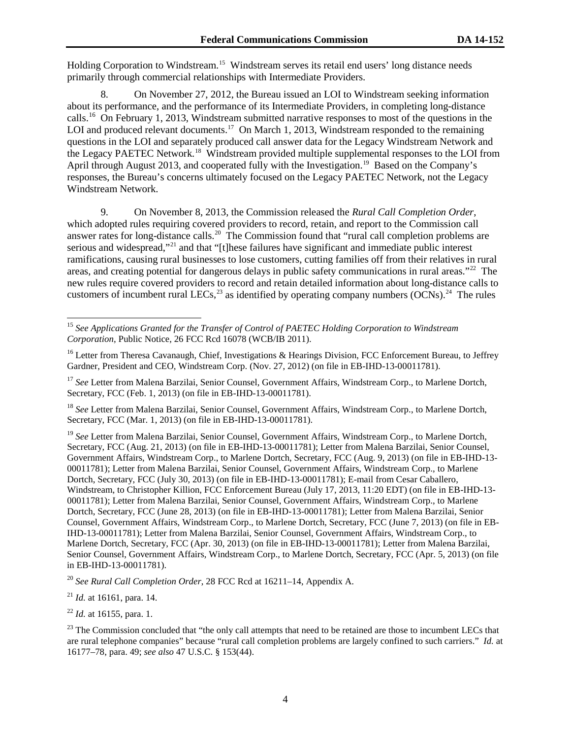Holding Corporation to Windstream. 15 Windstream serves its retail end users' long distance needs primarily through commercial relationships with Intermediate Providers.

8. On November 27, 2012, the Bureau issued an LOI to Windstream seeking information about its performance, and the performance of its Intermediate Providers, in completing long-distance calls.16 On February 1, 2013, Windstream submitted narrative responses to most of the questions in the LOI and produced relevant documents.<sup>17</sup> On March 1, 2013, Windstream responded to the remaining questions in the LOI and separately produced call answer data for the Legacy Windstream Network and the Legacy PAETEC Network.<sup>18</sup> Windstream provided multiple supplemental responses to the LOI from April through August 2013, and cooperated fully with the Investigation.<sup>19</sup> Based on the Company's responses, the Bureau's concerns ultimately focused on the Legacy PAETEC Network, not the Legacy Windstream Network.

9. On November 8, 2013, the Commission released the *Rural Call Completion Order*, which adopted rules requiring covered providers to record, retain, and report to the Commission call answer rates for long-distance calls.<sup>20</sup> The Commission found that "rural call completion problems are serious and widespread,"<sup>21</sup> and that "[t]hese failures have significant and immediate public interest ramifications, causing rural businesses to lose customers, cutting families off from their relatives in rural areas, and creating potential for dangerous delays in public safety communications in rural areas."<sup>22</sup> The new rules require covered providers to record and retain detailed information about long-distance calls to customers of incumbent rural LECs,<sup>23</sup> as identified by operating company numbers  $(OCNs)$ .<sup>24</sup> The rules

<sup>17</sup> See Letter from Malena Barzilai, Senior Counsel, Government Affairs, Windstream Corp., to Marlene Dortch, Secretary, FCC (Feb. 1, 2013) (on file in EB-IHD-13-00011781).

<sup>18</sup> *See* Letter from Malena Barzilai, Senior Counsel, Government Affairs, Windstream Corp., to Marlene Dortch, Secretary, FCC (Mar. 1, 2013) (on file in EB-IHD-13-00011781).

<sup>19</sup> See Letter from Malena Barzilai, Senior Counsel, Government Affairs, Windstream Corp., to Marlene Dortch, Secretary, FCC (Aug. 21, 2013) (on file in EB-IHD-13-00011781); Letter from Malena Barzilai, Senior Counsel, Government Affairs, Windstream Corp., to Marlene Dortch, Secretary, FCC (Aug. 9, 2013) (on file in EB-IHD-13- 00011781); Letter from Malena Barzilai, Senior Counsel, Government Affairs, Windstream Corp., to Marlene Dortch, Secretary, FCC (July 30, 2013) (on file in EB-IHD-13-00011781); E-mail from Cesar Caballero, Windstream, to Christopher Killion, FCC Enforcement Bureau (July 17, 2013, 11:20 EDT) (on file in EB-IHD-13- 00011781); Letter from Malena Barzilai, Senior Counsel, Government Affairs, Windstream Corp., to Marlene Dortch, Secretary, FCC (June 28, 2013) (on file in EB-IHD-13-00011781); Letter from Malena Barzilai, Senior Counsel, Government Affairs, Windstream Corp., to Marlene Dortch, Secretary, FCC (June 7, 2013) (on file in EB-IHD-13-00011781); Letter from Malena Barzilai, Senior Counsel, Government Affairs, Windstream Corp., to Marlene Dortch, Secretary, FCC (Apr. 30, 2013) (on file in EB-IHD-13-00011781); Letter from Malena Barzilai, Senior Counsel, Government Affairs, Windstream Corp., to Marlene Dortch, Secretary, FCC (Apr. 5, 2013) (on file in EB-IHD-13-00011781).

<sup>20</sup> *See Rural Call Completion Order*, 28 FCC Rcd at 16211–14, Appendix A.

<sup>21</sup> *Id.* at 16161, para. 14.

<sup>22</sup> *Id.* at 16155, para. 1.

 <sup>15</sup> *See Applications Granted for the Transfer of Control of PAETEC Holding Corporation to Windstream Corporation*, Public Notice, 26 FCC Rcd 16078 (WCB/IB 2011).

<sup>&</sup>lt;sup>16</sup> Letter from Theresa Cavanaugh, Chief, Investigations & Hearings Division, FCC Enforcement Bureau, to Jeffrey Gardner, President and CEO, Windstream Corp. (Nov. 27, 2012) (on file in EB-IHD-13-00011781).

 $23$  The Commission concluded that "the only call attempts that need to be retained are those to incumbent LECs that are rural telephone companies" because "rural call completion problems are largely confined to such carriers." *Id.* at 16177–78, para. 49; *see also* 47 U.S.C. § 153(44).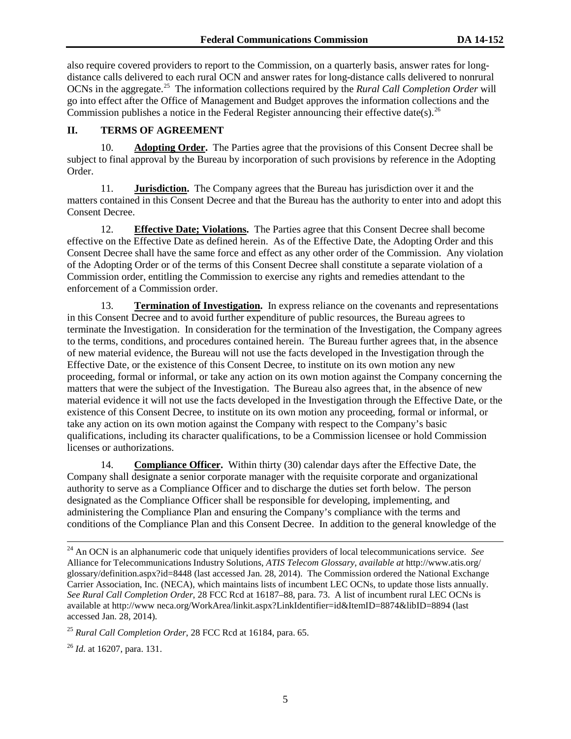also require covered providers to report to the Commission, on a quarterly basis, answer rates for longdistance calls delivered to each rural OCN and answer rates for long-distance calls delivered to nonrural OCNs in the aggregate.25 The information collections required by the *Rural Call Completion Order* will go into effect after the Office of Management and Budget approves the information collections and the Commission publishes a notice in the Federal Register announcing their effective date(s).<sup>26</sup>

# **II. TERMS OF AGREEMENT**

10. **Adopting Order.** The Parties agree that the provisions of this Consent Decree shall be subject to final approval by the Bureau by incorporation of such provisions by reference in the Adopting Order.

11. **Jurisdiction.** The Company agrees that the Bureau has jurisdiction over it and the matters contained in this Consent Decree and that the Bureau has the authority to enter into and adopt this Consent Decree.

12. **Effective Date; Violations.** The Parties agree that this Consent Decree shall become effective on the Effective Date as defined herein. As of the Effective Date, the Adopting Order and this Consent Decree shall have the same force and effect as any other order of the Commission. Any violation of the Adopting Order or of the terms of this Consent Decree shall constitute a separate violation of a Commission order, entitling the Commission to exercise any rights and remedies attendant to the enforcement of a Commission order.

13. **Termination of Investigation.** In express reliance on the covenants and representations in this Consent Decree and to avoid further expenditure of public resources, the Bureau agrees to terminate the Investigation. In consideration for the termination of the Investigation, the Company agrees to the terms, conditions, and procedures contained herein. The Bureau further agrees that, in the absence of new material evidence, the Bureau will not use the facts developed in the Investigation through the Effective Date, or the existence of this Consent Decree, to institute on its own motion any new proceeding, formal or informal, or take any action on its own motion against the Company concerning the matters that were the subject of the Investigation. The Bureau also agrees that, in the absence of new material evidence it will not use the facts developed in the Investigation through the Effective Date, or the existence of this Consent Decree, to institute on its own motion any proceeding, formal or informal, or take any action on its own motion against the Company with respect to the Company's basic qualifications, including its character qualifications, to be a Commission licensee or hold Commission licenses or authorizations.

14. **Compliance Officer.** Within thirty (30) calendar days after the Effective Date, the Company shall designate a senior corporate manager with the requisite corporate and organizational authority to serve as a Compliance Officer and to discharge the duties set forth below. The person designated as the Compliance Officer shall be responsible for developing, implementing, and administering the Compliance Plan and ensuring the Company's compliance with the terms and conditions of the Compliance Plan and this Consent Decree. In addition to the general knowledge of the

<sup>25</sup> *Rural Call Completion Order*, 28 FCC Rcd at 16184, para. 65.

<sup>26</sup> *Id.* at 16207, para. 131.

 <sup>24</sup> An OCN is an alphanumeric code that uniquely identifies providers of local telecommunications service. *See*  Alliance for Telecommunications Industry Solutions, *ATIS Telecom Glossary*, *available at* http://www.atis.org/ glossary/definition.aspx?id=8448 (last accessed Jan. 28, 2014). The Commission ordered the National Exchange Carrier Association, Inc. (NECA), which maintains lists of incumbent LEC OCNs, to update those lists annually. *See Rural Call Completion Order*, 28 FCC Rcd at 16187–88, para. 73. A list of incumbent rural LEC OCNs is available at http://www neca.org/WorkArea/linkit.aspx?LinkIdentifier=id&ItemID=8874&libID=8894 (last accessed Jan. 28, 2014).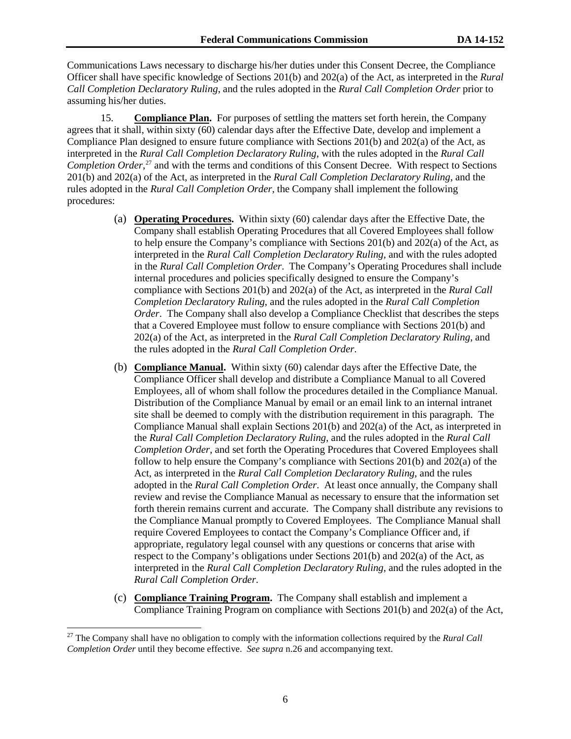Communications Laws necessary to discharge his/her duties under this Consent Decree, the Compliance Officer shall have specific knowledge of Sections 201(b) and 202(a) of the Act, as interpreted in the *Rural Call Completion Declaratory Ruling*, and the rules adopted in the *Rural Call Completion Order* prior to assuming his/her duties.

15. **Compliance Plan.** For purposes of settling the matters set forth herein, the Company agrees that it shall, within sixty (60) calendar days after the Effective Date, develop and implement a Compliance Plan designed to ensure future compliance with Sections 201(b) and 202(a) of the Act, as interpreted in the *Rural Call Completion Declaratory Ruling*, with the rules adopted in the *Rural Call*  Completion Order,<sup>27</sup> and with the terms and conditions of this Consent Decree. With respect to Sections 201(b) and 202(a) of the Act, as interpreted in the *Rural Call Completion Declaratory Ruling*, and the rules adopted in the *Rural Call Completion Order*, the Company shall implement the following procedures:

- (a) **Operating Procedures.** Within sixty (60) calendar days after the Effective Date, the Company shall establish Operating Procedures that all Covered Employees shall follow to help ensure the Company's compliance with Sections 201(b) and 202(a) of the Act, as interpreted in the *Rural Call Completion Declaratory Ruling*, and with the rules adopted in the *Rural Call Completion Order*. The Company's Operating Procedures shall include internal procedures and policies specifically designed to ensure the Company's compliance with Sections 201(b) and 202(a) of the Act, as interpreted in the *Rural Call Completion Declaratory Ruling*, and the rules adopted in the *Rural Call Completion Order*. The Company shall also develop a Compliance Checklist that describes the steps that a Covered Employee must follow to ensure compliance with Sections 201(b) and 202(a) of the Act, as interpreted in the *Rural Call Completion Declaratory Ruling*, and the rules adopted in the *Rural Call Completion Order*.
- (b) **Compliance Manual.** Within sixty (60) calendar days after the Effective Date, the Compliance Officer shall develop and distribute a Compliance Manual to all Covered Employees, all of whom shall follow the procedures detailed in the Compliance Manual. Distribution of the Compliance Manual by email or an email link to an internal intranet site shall be deemed to comply with the distribution requirement in this paragraph. The Compliance Manual shall explain Sections 201(b) and 202(a) of the Act, as interpreted in the *Rural Call Completion Declaratory Ruling*, and the rules adopted in the *Rural Call Completion Order*, and set forth the Operating Procedures that Covered Employees shall follow to help ensure the Company's compliance with Sections 201(b) and 202(a) of the Act, as interpreted in the *Rural Call Completion Declaratory Ruling*, and the rules adopted in the *Rural Call Completion Order*. At least once annually, the Company shall review and revise the Compliance Manual as necessary to ensure that the information set forth therein remains current and accurate. The Company shall distribute any revisions to the Compliance Manual promptly to Covered Employees. The Compliance Manual shall require Covered Employees to contact the Company's Compliance Officer and, if appropriate, regulatory legal counsel with any questions or concerns that arise with respect to the Company's obligations under Sections 201(b) and 202(a) of the Act, as interpreted in the *Rural Call Completion Declaratory Ruling*, and the rules adopted in the *Rural Call Completion Order*.
- (c) **Compliance Training Program.** The Company shall establish and implement a Compliance Training Program on compliance with Sections 201(b) and 202(a) of the Act,

 <sup>27</sup> The Company shall have no obligation to comply with the information collections required by the *Rural Call Completion Order* until they become effective. *See supra* n.26 and accompanying text.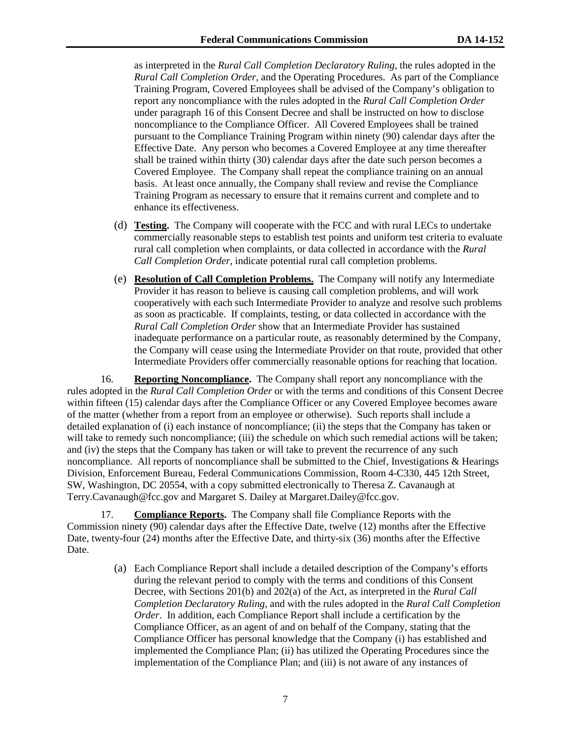as interpreted in the *Rural Call Completion Declaratory Ruling*, the rules adopted in the *Rural Call Completion Order*, and the Operating Procedures. As part of the Compliance Training Program, Covered Employees shall be advised of the Company's obligation to report any noncompliance with the rules adopted in the *Rural Call Completion Order* under paragraph 16 of this Consent Decree and shall be instructed on how to disclose noncompliance to the Compliance Officer. All Covered Employees shall be trained pursuant to the Compliance Training Program within ninety (90) calendar days after the Effective Date. Any person who becomes a Covered Employee at any time thereafter shall be trained within thirty (30) calendar days after the date such person becomes a Covered Employee. The Company shall repeat the compliance training on an annual basis. At least once annually, the Company shall review and revise the Compliance Training Program as necessary to ensure that it remains current and complete and to enhance its effectiveness.

- (d) **Testing.** The Company will cooperate with the FCC and with rural LECs to undertake commercially reasonable steps to establish test points and uniform test criteria to evaluate rural call completion when complaints, or data collected in accordance with the *Rural Call Completion Order*, indicate potential rural call completion problems.
- (e) **Resolution of Call Completion Problems.** The Company will notify any Intermediate Provider it has reason to believe is causing call completion problems, and will work cooperatively with each such Intermediate Provider to analyze and resolve such problems as soon as practicable. If complaints, testing, or data collected in accordance with the *Rural Call Completion Order* show that an Intermediate Provider has sustained inadequate performance on a particular route, as reasonably determined by the Company, the Company will cease using the Intermediate Provider on that route, provided that other Intermediate Providers offer commercially reasonable options for reaching that location.

16. **Reporting Noncompliance.** The Company shall report any noncompliance with the rules adopted in the *Rural Call Completion Order* or with the terms and conditions of this Consent Decree within fifteen (15) calendar days after the Compliance Officer or any Covered Employee becomes aware of the matter (whether from a report from an employee or otherwise). Such reports shall include a detailed explanation of (i) each instance of noncompliance; (ii) the steps that the Company has taken or will take to remedy such noncompliance; (iii) the schedule on which such remedial actions will be taken; and (iv) the steps that the Company has taken or will take to prevent the recurrence of any such noncompliance. All reports of noncompliance shall be submitted to the Chief, Investigations & Hearings Division, Enforcement Bureau, Federal Communications Commission, Room 4-C330, 445 12th Street, SW, Washington, DC 20554, with a copy submitted electronically to Theresa Z. Cavanaugh at Terry.Cavanaugh@fcc.gov and Margaret S. Dailey at Margaret.Dailey@fcc.gov.

17. **Compliance Reports.** The Company shall file Compliance Reports with the Commission ninety (90) calendar days after the Effective Date, twelve (12) months after the Effective Date, twenty-four (24) months after the Effective Date, and thirty-six (36) months after the Effective Date.

> (a) Each Compliance Report shall include a detailed description of the Company's efforts during the relevant period to comply with the terms and conditions of this Consent Decree, with Sections 201(b) and 202(a) of the Act, as interpreted in the *Rural Call Completion Declaratory Ruling*, and with the rules adopted in the *Rural Call Completion Order*. In addition, each Compliance Report shall include a certification by the Compliance Officer, as an agent of and on behalf of the Company, stating that the Compliance Officer has personal knowledge that the Company (i) has established and implemented the Compliance Plan; (ii) has utilized the Operating Procedures since the implementation of the Compliance Plan; and (iii) is not aware of any instances of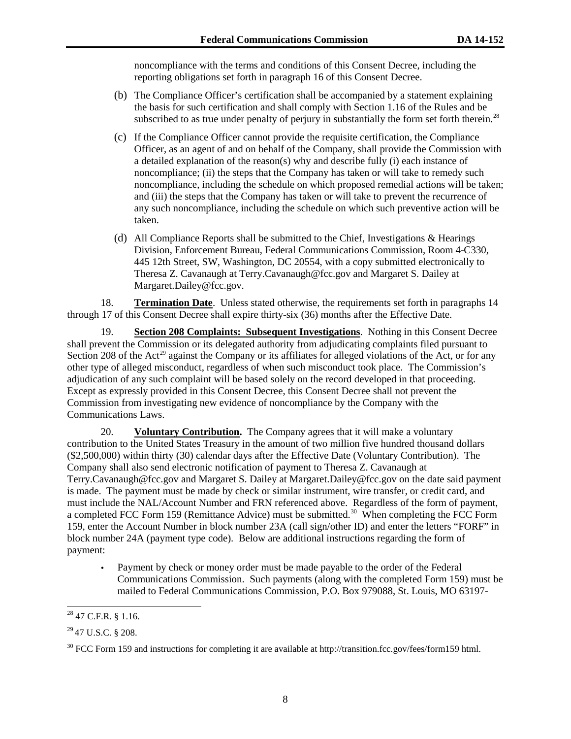noncompliance with the terms and conditions of this Consent Decree, including the reporting obligations set forth in paragraph 16 of this Consent Decree.

- (b) The Compliance Officer's certification shall be accompanied by a statement explaining the basis for such certification and shall comply with Section 1.16 of the Rules and be subscribed to as true under penalty of perjury in substantially the form set forth therein.<sup>28</sup>
- (c) If the Compliance Officer cannot provide the requisite certification, the Compliance Officer, as an agent of and on behalf of the Company, shall provide the Commission with a detailed explanation of the reason(s) why and describe fully (i) each instance of noncompliance; (ii) the steps that the Company has taken or will take to remedy such noncompliance, including the schedule on which proposed remedial actions will be taken; and (iii) the steps that the Company has taken or will take to prevent the recurrence of any such noncompliance, including the schedule on which such preventive action will be taken.
- (d) All Compliance Reports shall be submitted to the Chief, Investigations & Hearings Division, Enforcement Bureau, Federal Communications Commission, Room 4-C330, 445 12th Street, SW, Washington, DC 20554, with a copy submitted electronically to Theresa Z. Cavanaugh at Terry.Cavanaugh@fcc.gov and Margaret S. Dailey at Margaret.Dailey@fcc.gov.

18. **Termination Date**. Unless stated otherwise, the requirements set forth in paragraphs 14 through 17 of this Consent Decree shall expire thirty-six (36) months after the Effective Date.

19. **Section 208 Complaints: Subsequent Investigations**. Nothing in this Consent Decree shall prevent the Commission or its delegated authority from adjudicating complaints filed pursuant to Section 208 of the Act<sup>29</sup> against the Company or its affiliates for alleged violations of the Act, or for any other type of alleged misconduct, regardless of when such misconduct took place. The Commission's adjudication of any such complaint will be based solely on the record developed in that proceeding. Except as expressly provided in this Consent Decree, this Consent Decree shall not prevent the Commission from investigating new evidence of noncompliance by the Company with the Communications Laws.

20. **Voluntary Contribution.** The Company agrees that it will make a voluntary contribution to the United States Treasury in the amount of two million five hundred thousand dollars (\$2,500,000) within thirty (30) calendar days after the Effective Date (Voluntary Contribution). The Company shall also send electronic notification of payment to Theresa Z. Cavanaugh at Terry.Cavanaugh@fcc.gov and Margaret S. Dailey at Margaret.Dailey@fcc.gov on the date said payment is made. The payment must be made by check or similar instrument, wire transfer, or credit card, and must include the NAL/Account Number and FRN referenced above. Regardless of the form of payment, a completed FCC Form 159 (Remittance Advice) must be submitted.<sup>30</sup> When completing the FCC Form 159, enter the Account Number in block number 23A (call sign/other ID) and enter the letters "FORF" in block number 24A (payment type code). Below are additional instructions regarding the form of payment:

 Payment by check or money order must be made payable to the order of the Federal Communications Commission. Such payments (along with the completed Form 159) must be mailed to Federal Communications Commission, P.O. Box 979088, St. Louis, MO 63197-

 $\overline{a}$  $^{28}$  47 C.F.R. § 1.16.

 $^{29}$  47 U.S.C. § 208.

 $30$  FCC Form 159 and instructions for completing it are available at http://transition.fcc.gov/fees/form159 html.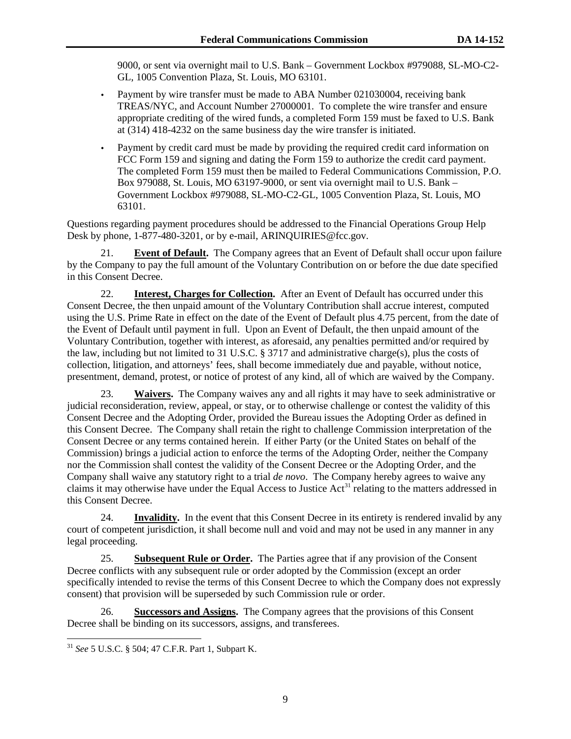9000, or sent via overnight mail to U.S. Bank – Government Lockbox #979088, SL-MO-C2- GL, 1005 Convention Plaza, St. Louis, MO 63101.

- Payment by wire transfer must be made to ABA Number 021030004, receiving bank TREAS/NYC, and Account Number 27000001. To complete the wire transfer and ensure appropriate crediting of the wired funds, a completed Form 159 must be faxed to U.S. Bank at (314) 418-4232 on the same business day the wire transfer is initiated.
- Payment by credit card must be made by providing the required credit card information on FCC Form 159 and signing and dating the Form 159 to authorize the credit card payment. The completed Form 159 must then be mailed to Federal Communications Commission, P.O. Box 979088, St. Louis, MO 63197-9000, or sent via overnight mail to U.S. Bank – Government Lockbox #979088, SL-MO-C2-GL, 1005 Convention Plaza, St. Louis, MO 63101.

Questions regarding payment procedures should be addressed to the Financial Operations Group Help Desk by phone, 1-877-480-3201, or by e-mail, ARINQUIRIES@fcc.gov.

21. **Event of Default.** The Company agrees that an Event of Default shall occur upon failure by the Company to pay the full amount of the Voluntary Contribution on or before the due date specified in this Consent Decree.

22. **Interest, Charges for Collection.** After an Event of Default has occurred under this Consent Decree, the then unpaid amount of the Voluntary Contribution shall accrue interest, computed using the U.S. Prime Rate in effect on the date of the Event of Default plus 4.75 percent, from the date of the Event of Default until payment in full. Upon an Event of Default, the then unpaid amount of the Voluntary Contribution, together with interest, as aforesaid, any penalties permitted and/or required by the law, including but not limited to 31 U.S.C. § 3717 and administrative charge(s), plus the costs of collection, litigation, and attorneys' fees, shall become immediately due and payable, without notice, presentment, demand, protest, or notice of protest of any kind, all of which are waived by the Company.

23. **Waivers.** The Company waives any and all rights it may have to seek administrative or judicial reconsideration, review, appeal, or stay, or to otherwise challenge or contest the validity of this Consent Decree and the Adopting Order, provided the Bureau issues the Adopting Order as defined in this Consent Decree. The Company shall retain the right to challenge Commission interpretation of the Consent Decree or any terms contained herein. If either Party (or the United States on behalf of the Commission) brings a judicial action to enforce the terms of the Adopting Order, neither the Company nor the Commission shall contest the validity of the Consent Decree or the Adopting Order, and the Company shall waive any statutory right to a trial *de novo*. The Company hereby agrees to waive any claims it may otherwise have under the Equal Access to Justice Act<sup>31</sup> relating to the matters addressed in this Consent Decree.

24. **Invalidity.** In the event that this Consent Decree in its entirety is rendered invalid by any court of competent jurisdiction, it shall become null and void and may not be used in any manner in any legal proceeding.

25. **Subsequent Rule or Order.** The Parties agree that if any provision of the Consent Decree conflicts with any subsequent rule or order adopted by the Commission (except an order specifically intended to revise the terms of this Consent Decree to which the Company does not expressly consent) that provision will be superseded by such Commission rule or order.

26. **Successors and Assigns.** The Company agrees that the provisions of this Consent Decree shall be binding on its successors, assigns, and transferees.

 <sup>31</sup> *See* 5 U.S.C. § 504; 47 C.F.R. Part 1, Subpart K.